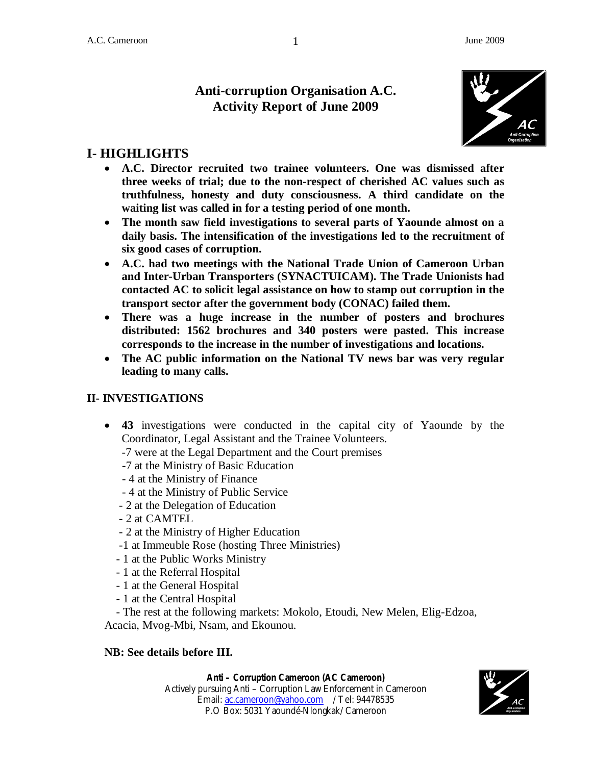## **Anti-corruption Organisation A.C. Activity Report of June 2009**



# **I- HIGHLIGHTS**

- **A.C. Director recruited two trainee volunteers. One was dismissed after three weeks of trial; due to the non-respect of cherished AC values such as truthfulness, honesty and duty consciousness. A third candidate on the waiting list was called in for a testing period of one month.**
- **The month saw field investigations to several parts of Yaounde almost on a daily basis. The intensification of the investigations led to the recruitment of six good cases of corruption.**
- **A.C. had two meetings with the National Trade Union of Cameroon Urban and Inter-Urban Transporters (SYNACTUICAM). The Trade Unionists had contacted AC to solicit legal assistance on how to stamp out corruption in the transport sector after the government body (CONAC) failed them.**
- **There was a huge increase in the number of posters and brochures distributed: 1562 brochures and 340 posters were pasted. This increase corresponds to the increase in the number of investigations and locations.**
- **The AC public information on the National TV news bar was very regular leading to many calls.**

## **II- INVESTIGATIONS**

- **43** investigations were conducted in the capital city of Yaounde by the Coordinator, Legal Assistant and the Trainee Volunteers.
	- -7 were at the Legal Department and the Court premises
	- -7 at the Ministry of Basic Education
	- 4 at the Ministry of Finance
	- 4 at the Ministry of Public Service
	- 2 at the Delegation of Education
	- 2 at CAMTEL
	- 2 at the Ministry of Higher Education
	- -1 at Immeuble Rose (hosting Three Ministries)
	- 1 at the Public Works Ministry
	- 1 at the Referral Hospital
	- 1 at the General Hospital
	- 1 at the Central Hospital

 - The rest at the following markets: Mokolo, Etoudi, New Melen, Elig-Edzoa, Acacia, Mvog-Mbi, Nsam, and Ekounou.

#### **NB: See details before III.**

**Anti – Corruption Cameroon (AC Cameroon)**





1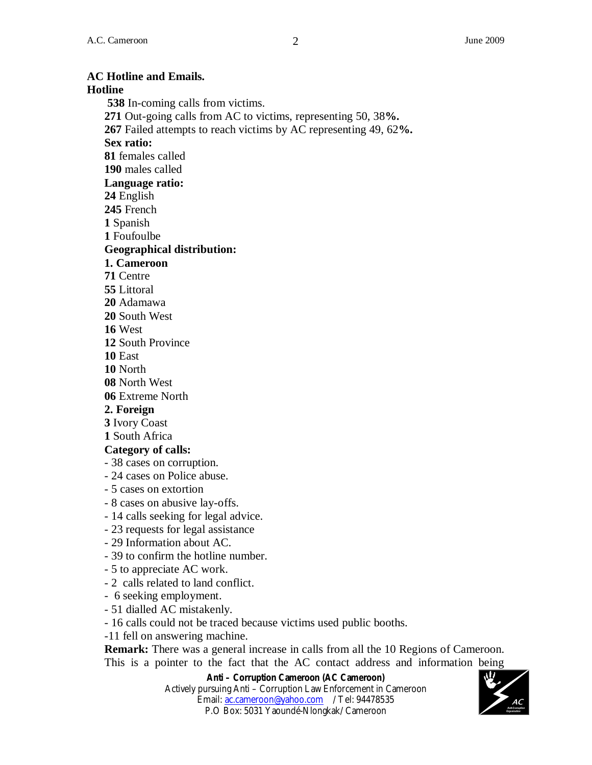#### **AC Hotline and Emails. Hotline 538** In-coming calls from victims. **271** Out-going calls from AC to victims, representing 50, 38**%. 267** Failed attempts to reach victims by AC representing 49, 62**%. Sex ratio: 81** females called **190** males called **Language ratio: 24** English **245** French **1** Spanish **1** Foufoulbe **Geographical distribution: 1. Cameroon 71** Centre **55** Littoral **20** Adamawa **20** South West **16** West **12** South Province **10** East **10** North **08** North West **06** Extreme North **2. Foreign 3** Ivory Coast **1** South Africa **Category of calls:** - 38 cases on corruption. - 24 cases on Police abuse. - 5 cases on extortion - 8 cases on abusive lay-offs. - 14 calls seeking for legal advice. - 23 requests for legal assistance - 29 Information about AC. - 39 to confirm the hotline number. - 5 to appreciate AC work. - 2 calls related to land conflict. - 6 seeking employment. - 51 dialled AC mistakenly. - 16 calls could not be traced because victims used public booths. -11 fell on answering machine. **Remark:** There was a general increase in calls from all the 10 Regions of Cameroon. This is a pointer to the fact that the AC contact address and information being

**Anti – Corruption Cameroon (AC Cameroon)** Actively pursuing Anti – Corruption Law Enforcement in Cameroon Email: ac.cameroon@yahoo.com / Tel: 94478535 P.O Box: 5031 Yaoundé-Nlongkak/ Cameroon

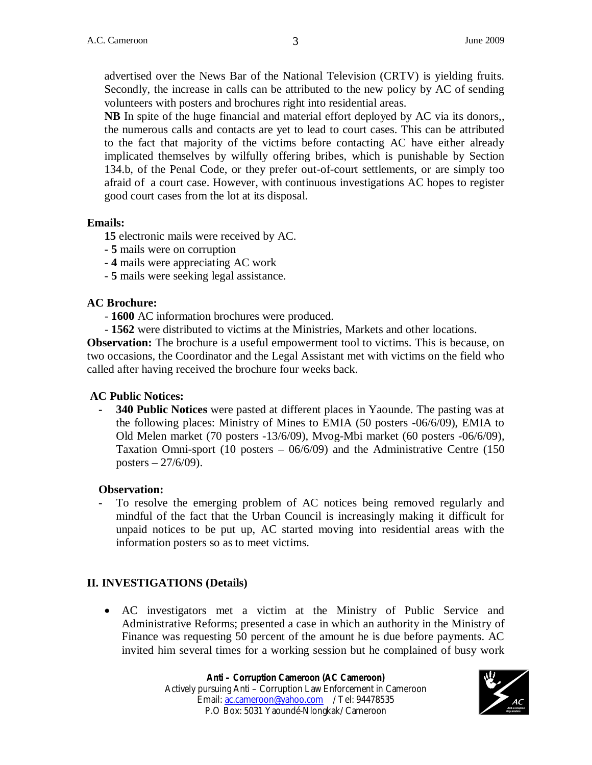advertised over the News Bar of the National Television (CRTV) is yielding fruits. Secondly, the increase in calls can be attributed to the new policy by AC of sending volunteers with posters and brochures right into residential areas.

**NB** In spite of the huge financial and material effort deployed by AC via its donors,, the numerous calls and contacts are yet to lead to court cases. This can be attributed to the fact that majority of the victims before contacting AC have either already implicated themselves by wilfully offering bribes, which is punishable by Section 134.b, of the Penal Code, or they prefer out-of-court settlements, or are simply too afraid of a court case. However, with continuous investigations AC hopes to register good court cases from the lot at its disposal.

#### **Emails:**

**15** electronic mails were received by AC.

- **5** mails were on corruption
- **4** mails were appreciating AC work
- **5** mails were seeking legal assistance.

#### **AC Brochure:**

- **1600** AC information brochures were produced.

- **1562** were distributed to victims at the Ministries, Markets and other locations.

**Observation:** The brochure is a useful empowerment tool to victims. This is because, on two occasions, the Coordinator and the Legal Assistant met with victims on the field who called after having received the brochure four weeks back.

#### **AC Public Notices:**

**- 340 Public Notices** were pasted at different places in Yaounde. The pasting was at the following places: Ministry of Mines to EMIA (50 posters -06/6/09), EMIA to Old Melen market (70 posters -13/6/09), Mvog-Mbi market (60 posters -06/6/09), Taxation Omni-sport (10 posters – 06/6/09) and the Administrative Centre (150 posters  $-27/6/09$ ).

#### **Observation:**

**-** To resolve the emerging problem of AC notices being removed regularly and mindful of the fact that the Urban Council is increasingly making it difficult for unpaid notices to be put up, AC started moving into residential areas with the information posters so as to meet victims.

#### **II. INVESTIGATIONS (Details)**

 AC investigators met a victim at the Ministry of Public Service and Administrative Reforms; presented a case in which an authority in the Ministry of Finance was requesting 50 percent of the amount he is due before payments. AC invited him several times for a working session but he complained of busy work

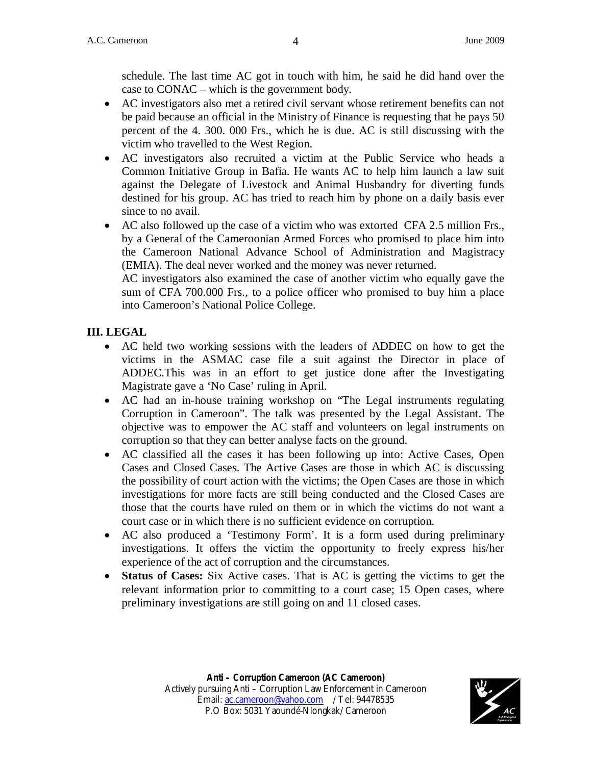schedule. The last time AC got in touch with him, he said he did hand over the case to CONAC – which is the government body.

- AC investigators also met a retired civil servant whose retirement benefits can not be paid because an official in the Ministry of Finance is requesting that he pays 50 percent of the 4. 300. 000 Frs., which he is due. AC is still discussing with the victim who travelled to the West Region.
- AC investigators also recruited a victim at the Public Service who heads a Common Initiative Group in Bafia. He wants AC to help him launch a law suit against the Delegate of Livestock and Animal Husbandry for diverting funds destined for his group. AC has tried to reach him by phone on a daily basis ever since to no avail.
- AC also followed up the case of a victim who was extorted CFA 2.5 million Frs., by a General of the Cameroonian Armed Forces who promised to place him into the Cameroon National Advance School of Administration and Magistracy (EMIA). The deal never worked and the money was never returned.

AC investigators also examined the case of another victim who equally gave the sum of CFA 700.000 Frs., to a police officer who promised to buy him a place into Cameroon's National Police College.

#### **III. LEGAL**

- AC held two working sessions with the leaders of ADDEC on how to get the victims in the ASMAC case file a suit against the Director in place of ADDEC.This was in an effort to get justice done after the Investigating Magistrate gave a 'No Case' ruling in April.
- AC had an in-house training workshop on "The Legal instruments regulating Corruption in Cameroon". The talk was presented by the Legal Assistant. The objective was to empower the AC staff and volunteers on legal instruments on corruption so that they can better analyse facts on the ground.
- AC classified all the cases it has been following up into: Active Cases, Open Cases and Closed Cases. The Active Cases are those in which AC is discussing the possibility of court action with the victims; the Open Cases are those in which investigations for more facts are still being conducted and the Closed Cases are those that the courts have ruled on them or in which the victims do not want a court case or in which there is no sufficient evidence on corruption.
- AC also produced a 'Testimony Form'. It is a form used during preliminary investigations. It offers the victim the opportunity to freely express his/her experience of the act of corruption and the circumstances.
- **Status of Cases:** Six Active cases. That is AC is getting the victims to get the relevant information prior to committing to a court case; 15 Open cases, where preliminary investigations are still going on and 11 closed cases.

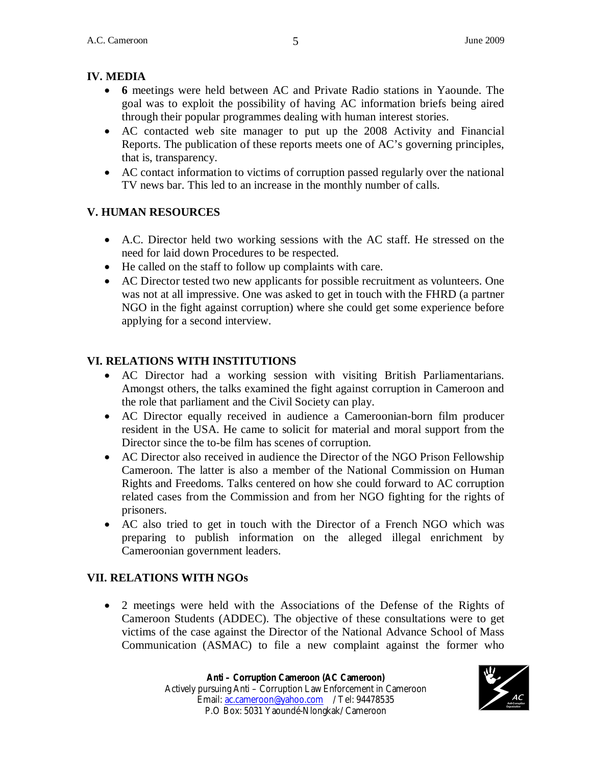## **IV. MEDIA**

- **6** meetings were held between AC and Private Radio stations in Yaounde. The goal was to exploit the possibility of having AC information briefs being aired through their popular programmes dealing with human interest stories.
- AC contacted web site manager to put up the 2008 Activity and Financial Reports. The publication of these reports meets one of AC's governing principles, that is, transparency.
- AC contact information to victims of corruption passed regularly over the national TV news bar. This led to an increase in the monthly number of calls.

## **V. HUMAN RESOURCES**

- A.C. Director held two working sessions with the AC staff. He stressed on the need for laid down Procedures to be respected.
- He called on the staff to follow up complaints with care.
- AC Director tested two new applicants for possible recruitment as volunteers. One was not at all impressive. One was asked to get in touch with the FHRD (a partner NGO in the fight against corruption) where she could get some experience before applying for a second interview.

## **VI. RELATIONS WITH INSTITUTIONS**

- AC Director had a working session with visiting British Parliamentarians. Amongst others, the talks examined the fight against corruption in Cameroon and the role that parliament and the Civil Society can play.
- AC Director equally received in audience a Cameroonian-born film producer resident in the USA. He came to solicit for material and moral support from the Director since the to-be film has scenes of corruption.
- AC Director also received in audience the Director of the NGO Prison Fellowship Cameroon. The latter is also a member of the National Commission on Human Rights and Freedoms. Talks centered on how she could forward to AC corruption related cases from the Commission and from her NGO fighting for the rights of prisoners.
- AC also tried to get in touch with the Director of a French NGO which was preparing to publish information on the alleged illegal enrichment by Cameroonian government leaders.

## **VII. RELATIONS WITH NGOs**

 2 meetings were held with the Associations of the Defense of the Rights of Cameroon Students (ADDEC). The objective of these consultations were to get victims of the case against the Director of the National Advance School of Mass Communication (ASMAC) to file a new complaint against the former who

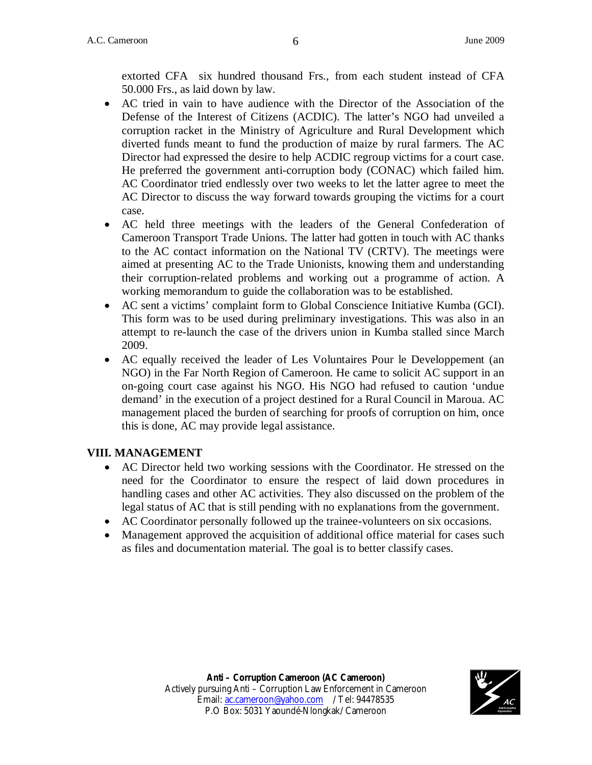extorted CFA six hundred thousand Frs., from each student instead of CFA 50.000 Frs., as laid down by law.

- AC tried in vain to have audience with the Director of the Association of the Defense of the Interest of Citizens (ACDIC). The latter's NGO had unveiled a corruption racket in the Ministry of Agriculture and Rural Development which diverted funds meant to fund the production of maize by rural farmers. The AC Director had expressed the desire to help ACDIC regroup victims for a court case. He preferred the government anti-corruption body (CONAC) which failed him. AC Coordinator tried endlessly over two weeks to let the latter agree to meet the AC Director to discuss the way forward towards grouping the victims for a court case.
- AC held three meetings with the leaders of the General Confederation of Cameroon Transport Trade Unions. The latter had gotten in touch with AC thanks to the AC contact information on the National TV (CRTV). The meetings were aimed at presenting AC to the Trade Unionists, knowing them and understanding their corruption-related problems and working out a programme of action. A working memorandum to guide the collaboration was to be established.
- AC sent a victims' complaint form to Global Conscience Initiative Kumba (GCI). This form was to be used during preliminary investigations. This was also in an attempt to re-launch the case of the drivers union in Kumba stalled since March 2009.
- AC equally received the leader of Les Voluntaires Pour le Developpement (an NGO) in the Far North Region of Cameroon. He came to solicit AC support in an on-going court case against his NGO. His NGO had refused to caution 'undue demand' in the execution of a project destined for a Rural Council in Maroua. AC management placed the burden of searching for proofs of corruption on him, once this is done, AC may provide legal assistance.

#### **VIII. MANAGEMENT**

- AC Director held two working sessions with the Coordinator. He stressed on the need for the Coordinator to ensure the respect of laid down procedures in handling cases and other AC activities. They also discussed on the problem of the legal status of AC that is still pending with no explanations from the government.
- AC Coordinator personally followed up the trainee-volunteers on six occasions.
- Management approved the acquisition of additional office material for cases such as files and documentation material. The goal is to better classify cases.